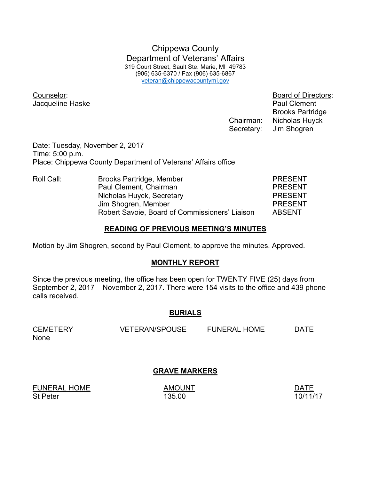Chippewa County Department of Veterans' Affairs 319 Court Street, Sault Ste. Marie, MI 49783 (906) 635-6370 / Fax (906) 635-6867 veteran@chippewacountymi.gov

Jacqueline Haske **Paul Clement** 

Counselor: Board of Directors: Brooks Partridge Chairman: Nicholas Huyck Secretary: Jim Shogren

Date: Tuesday, November 2, 2017 Time: 5:00 p.m. Place: Chippewa County Department of Veterans' Affairs office

| Roll Call: | Brooks Partridge, Member                       | <b>PRESENT</b> |
|------------|------------------------------------------------|----------------|
|            | Paul Clement, Chairman                         | <b>PRESENT</b> |
|            | Nicholas Huyck, Secretary                      | <b>PRESENT</b> |
|            | Jim Shogren, Member                            | <b>PRESENT</b> |
|            | Robert Savoie, Board of Commissioners' Liaison | <b>ABSENT</b>  |

### **READING OF PREVIOUS MEETING'S MINUTES**

Motion by Jim Shogren, second by Paul Clement, to approve the minutes. Approved.

### **MONTHLY REPORT**

Since the previous meeting, the office has been open for TWENTY FIVE (25) days from September 2, 2017 – November 2, 2017. There were 154 visits to the office and 439 phone calls received.

### **BURIALS**

None

CEMETERY VETERAN/SPOUSE FUNERAL HOME DATE

## **GRAVE MARKERS**

FUNERAL HOME AMOUNT AMOUNT AND AND AND AND A St Peter 135.00 **135.00** 135.00